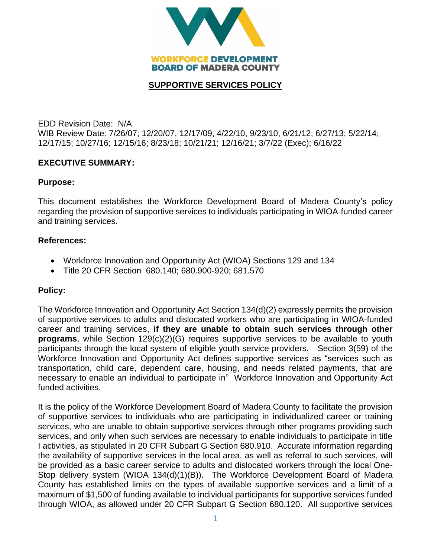

## **SUPPORTIVE SERVICES POLICY**

EDD Revision Date: N/A WIB Review Date: 7/26/07; 12/20/07, 12/17/09, 4/22/10, 9/23/10, 6/21/12; 6/27/13; 5/22/14; 12/17/15; 10/27/16; 12/15/16; 8/23/18; 10/21/21; 12/16/21; 3/7/22 (Exec); 6/16/22

## **EXECUTIVE SUMMARY:**

#### **Purpose:**

This document establishes the Workforce Development Board of Madera County's policy regarding the provision of supportive services to individuals participating in WIOA-funded career and training services.

#### **References:**

- Workforce Innovation and Opportunity Act (WIOA) Sections 129 and 134
- Title 20 CFR Section 680.140; 680.900-920; 681.570

#### **Policy:**

The Workforce Innovation and Opportunity Act Section 134(d)(2) expressly permits the provision of supportive services to adults and dislocated workers who are participating in WIOA-funded career and training services, **if they are unable to obtain such services through other programs**, while Section 129(c)(2)(G) requires supportive services to be available to youth participants through the local system of eligible youth service providers. Section 3(59) of the Workforce Innovation and Opportunity Act defines supportive services as "services such as transportation, child care, dependent care, housing, and needs related payments, that are necessary to enable an individual to participate in" Workforce Innovation and Opportunity Act funded activities.

It is the policy of the Workforce Development Board of Madera County to facilitate the provision of supportive services to individuals who are participating in individualized career or training services, who are unable to obtain supportive services through other programs providing such services, and only when such services are necessary to enable individuals to participate in title I activities, as stipulated in 20 CFR Subpart G Section 680.910. Accurate information regarding the availability of supportive services in the local area, as well as referral to such services, will be provided as a basic career service to adults and dislocated workers through the local One-Stop delivery system (WIOA 134(d)(1)(B)). The Workforce Development Board of Madera County has established limits on the types of available supportive services and a limit of a maximum of \$1,500 of funding available to individual participants for supportive services funded through WIOA, as allowed under 20 CFR Subpart G Section 680.120. All supportive services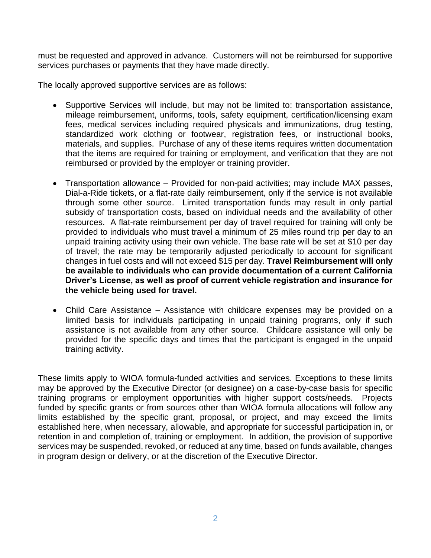must be requested and approved in advance. Customers will not be reimbursed for supportive services purchases or payments that they have made directly.

The locally approved supportive services are as follows:

- Supportive Services will include, but may not be limited to: transportation assistance, mileage reimbursement, uniforms, tools, safety equipment, certification/licensing exam fees, medical services including required physicals and immunizations, drug testing, standardized work clothing or footwear, registration fees, or instructional books, materials, and supplies. Purchase of any of these items requires written documentation that the items are required for training or employment, and verification that they are not reimbursed or provided by the employer or training provider.
- Transportation allowance Provided for non-paid activities; may include MAX passes, Dial-a-Ride tickets, or a flat-rate daily reimbursement, only if the service is not available through some other source. Limited transportation funds may result in only partial subsidy of transportation costs, based on individual needs and the availability of other resources. A flat-rate reimbursement per day of travel required for training will only be provided to individuals who must travel a minimum of 25 miles round trip per day to an unpaid training activity using their own vehicle. The base rate will be set at \$10 per day of travel; the rate may be temporarily adjusted periodically to account for significant changes in fuel costs and will not exceed \$15 per day. **Travel Reimbursement will only be available to individuals who can provide documentation of a current California Driver's License, as well as proof of current vehicle registration and insurance for the vehicle being used for travel.**
- Child Care Assistance Assistance with childcare expenses may be provided on a limited basis for individuals participating in unpaid training programs, only if such assistance is not available from any other source. Childcare assistance will only be provided for the specific days and times that the participant is engaged in the unpaid training activity.

These limits apply to WIOA formula-funded activities and services. Exceptions to these limits may be approved by the Executive Director (or designee) on a case-by-case basis for specific training programs or employment opportunities with higher support costs/needs. Projects funded by specific grants or from sources other than WIOA formula allocations will follow any limits established by the specific grant, proposal, or project, and may exceed the limits established here, when necessary, allowable, and appropriate for successful participation in, or retention in and completion of, training or employment. In addition, the provision of supportive services may be suspended, revoked, or reduced at any time, based on funds available, changes in program design or delivery, or at the discretion of the Executive Director.